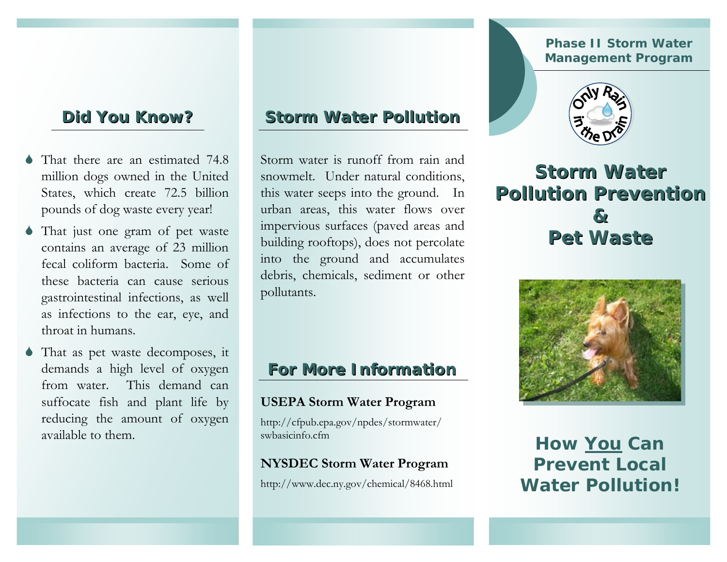## **Did You Know? Did You Know?**

- 6 That there are an estimated 74.8 million dogs owned in the United States, which create 72.5 billion pounds of dog waste every year!
- 6 That just one gram of pet waste contains an average of 23 million fecal coliform bacteria. Some of these bacteria can cause serious gastrointestinal infections, as well as infections to the ear, eye, and throat in humans.
- 6 That as pet waste decomposes, it demands a high level of oxygen from water. This demand can suffocate fish and plant life by reducing the amount of oxygen available to them.

### **Storm Water Pollution**

Storm water is runoff from rain and snowmelt. Under natural conditions, this water seeps into the ground. In urban areas, this water flows over impervious surfaces (paved areas and building rooftops), does not percolate into the ground and accumulates debris, chemicals, sediment or other pollutants.

### **For More Information For More Information**

#### **USEPA Storm Water Program**

http://cfpub.epa.gov/npdes/stormwater/ swbasicinfo.cfm

#### **NYSDEC Storm Water Program**

http://www.dec.ny.gov/chemical/8468.html

#### **Phase II Storm Water Management Program**



# **Storm Water Pollution PreventionPollution Prevention & & Pet WastePet Waste**



**How** *You* **Can Prevent LocalWater Pollution!**